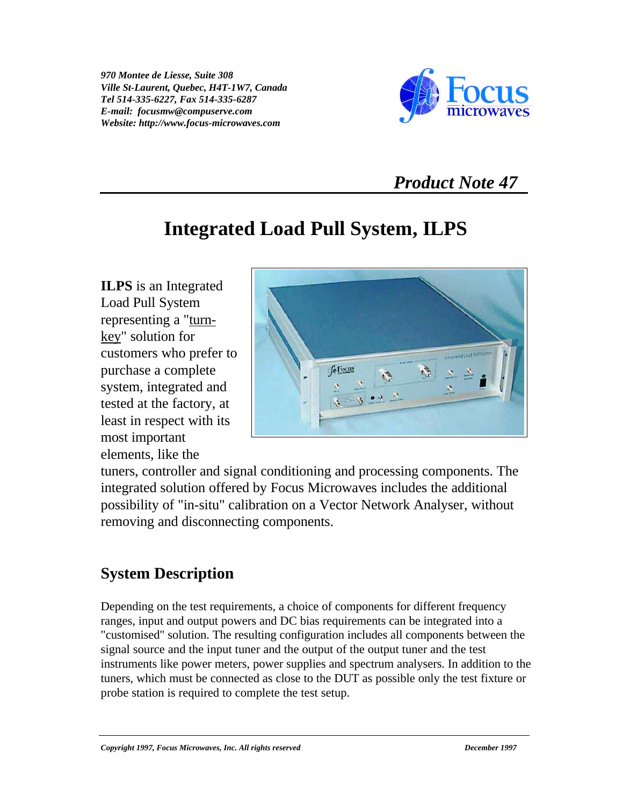*970 Montee de Liesse, Suite 308 Ville St-Laurent, Quebec, H4T-1W7, Canada Tel 514-335-6227, Fax 514-335-6287 E-mail: focusmw@compuserve.com Website: http://www.focus-microwaves.com*



## *Product Note 47*

## **Integrated Load Pull System, ILPS**

**ILPS** is an Integrated Load Pull System representing a "turnkey" solution for customers who prefer to purchase a complete system, integrated and tested at the factory, at least in respect with its most important elements, like the



tuners, controller and signal conditioning and processing components. The integrated solution offered by Focus Microwaves includes the additional possibility of "in-situ" calibration on a Vector Network Analyser, without removing and disconnecting components.

## **System Description**

Depending on the test requirements, a choice of components for different frequency ranges, input and output powers and DC bias requirements can be integrated into a "customised" solution. The resulting configuration includes all components between the signal source and the input tuner and the output of the output tuner and the test instruments like power meters, power supplies and spectrum analysers. In addition to the tuners, which must be connected as close to the DUT as possible only the test fixture or probe station is required to complete the test setup.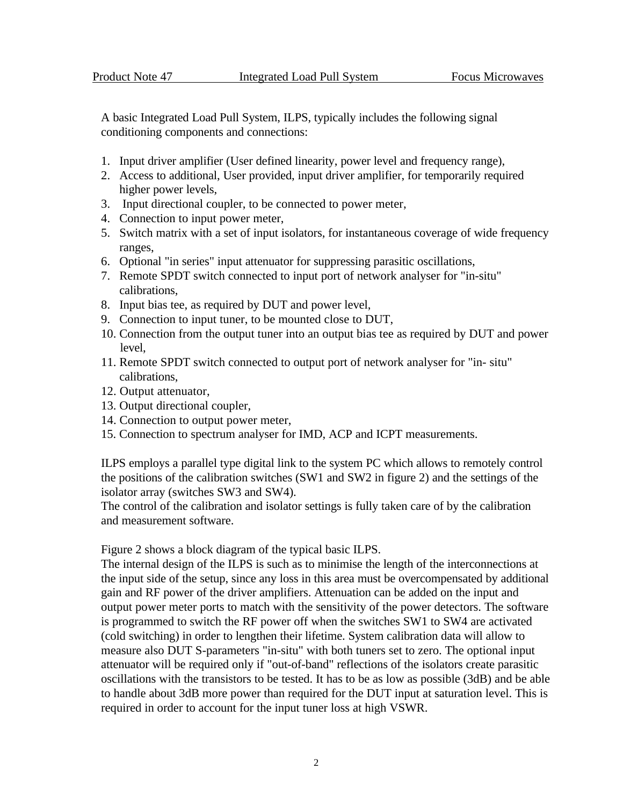A basic Integrated Load Pull System, ILPS, typically includes the following signal conditioning components and connections:

- 1. Input driver amplifier (User defined linearity, power level and frequency range),
- 2. Access to additional, User provided, input driver amplifier, for temporarily required higher power levels,
- 3. Input directional coupler, to be connected to power meter,
- 4. Connection to input power meter,
- 5. Switch matrix with a set of input isolators, for instantaneous coverage of wide frequency ranges,
- 6. Optional "in series" input attenuator for suppressing parasitic oscillations,
- 7. Remote SPDT switch connected to input port of network analyser for "in-situ" calibrations,
- 8. Input bias tee, as required by DUT and power level,
- 9. Connection to input tuner, to be mounted close to DUT,
- 10. Connection from the output tuner into an output bias tee as required by DUT and power level,
- 11. Remote SPDT switch connected to output port of network analyser for "in- situ" calibrations,
- 12. Output attenuator,
- 13. Output directional coupler,
- 14. Connection to output power meter,
- 15. Connection to spectrum analyser for IMD, ACP and ICPT measurements.

ILPS employs a parallel type digital link to the system PC which allows to remotely control the positions of the calibration switches (SW1 and SW2 in figure 2) and the settings of the isolator array (switches SW3 and SW4).

The control of the calibration and isolator settings is fully taken care of by the calibration and measurement software.

Figure 2 shows a block diagram of the typical basic ILPS.

The internal design of the ILPS is such as to minimise the length of the interconnections at the input side of the setup, since any loss in this area must be overcompensated by additional gain and RF power of the driver amplifiers. Attenuation can be added on the input and output power meter ports to match with the sensitivity of the power detectors. The software is programmed to switch the RF power off when the switches SW1 to SW4 are activated (cold switching) in order to lengthen their lifetime. System calibration data will allow to measure also DUT S-parameters "in-situ" with both tuners set to zero. The optional input attenuator will be required only if "out-of-band" reflections of the isolators create parasitic oscillations with the transistors to be tested. It has to be as low as possible (3dB) and be able to handle about 3dB more power than required for the DUT input at saturation level. This is required in order to account for the input tuner loss at high VSWR.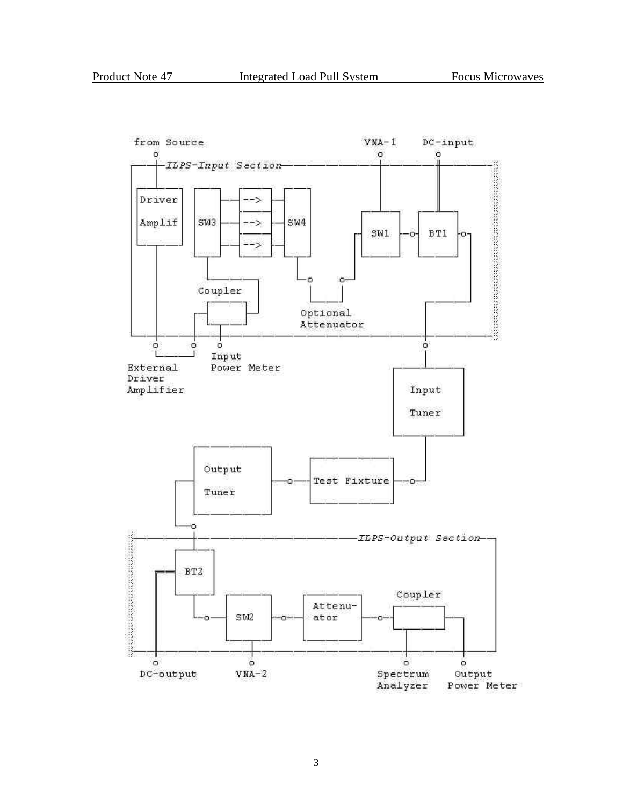